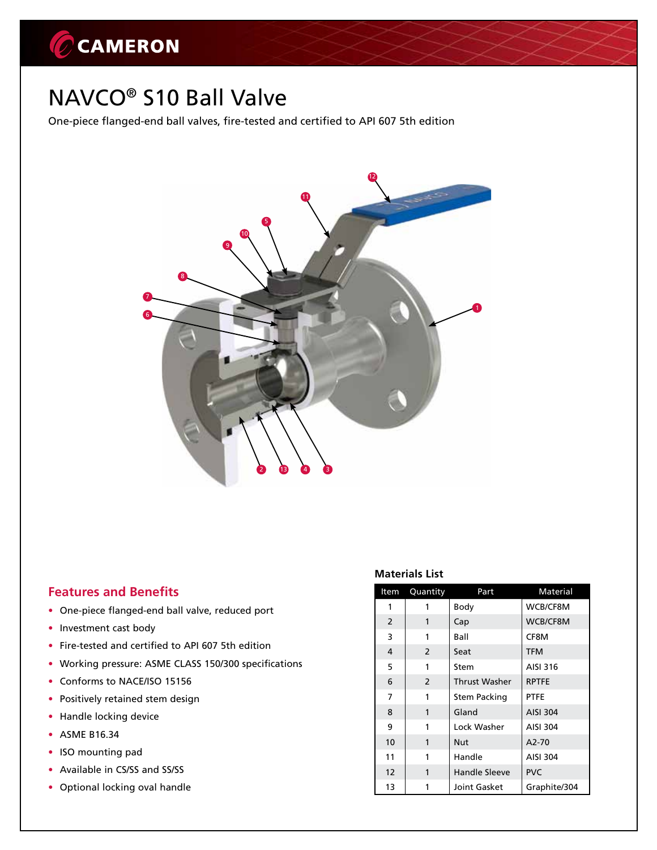# CCAMERON

### NAVCO® S10 Ball Valve

One-piece flanged-end ball valves, fire-tested and certified to API 607 5th edition



### **Features and Benefits**

- • One-piece flanged-end ball valve, reduced port
- Investment cast body
- Fire-tested and certified to API 607 5th edition
- Working pressure: ASME CLASS 150/300 specifications
- Conforms to NACE/ISO 15156
- Positively retained stem design
- Handle locking device
- ASME B16.34
- ISO mounting pad
- Available in CS/SS and SS/SS
- • Optional locking oval handle

### **Materials List**

| Item | Quantity | Part                 | Material                      |  |  |
|------|----------|----------------------|-------------------------------|--|--|
| 1    | 1        | Body                 | WCB/CF8M                      |  |  |
| 2    | 1        | Cap                  | WCB/CF8M                      |  |  |
| 3    | 1        | Ball                 | CF8M                          |  |  |
| 4    | 2        | Seat                 | <b>TFM</b><br>AISI 316        |  |  |
| 5    | 1        | Stem                 |                               |  |  |
| 6    | 2        | <b>Thrust Washer</b> | <b>RPTFE</b>                  |  |  |
| 7    | 1        | Stem Packing         | <b>PTFE</b>                   |  |  |
| 8    | 1        | Gland                | <b>AISI 304</b>               |  |  |
| 9    | 1        | Lock Washer          | AISI 304<br>A2-70<br>AISI 304 |  |  |
| 10   | 1        | Nut                  |                               |  |  |
| 11   | 1        | Handle               |                               |  |  |
| 12   | 1        | Handle Sleeve        | <b>PVC</b>                    |  |  |
| 13   | 1        | Joint Gasket         | Graphite/304                  |  |  |